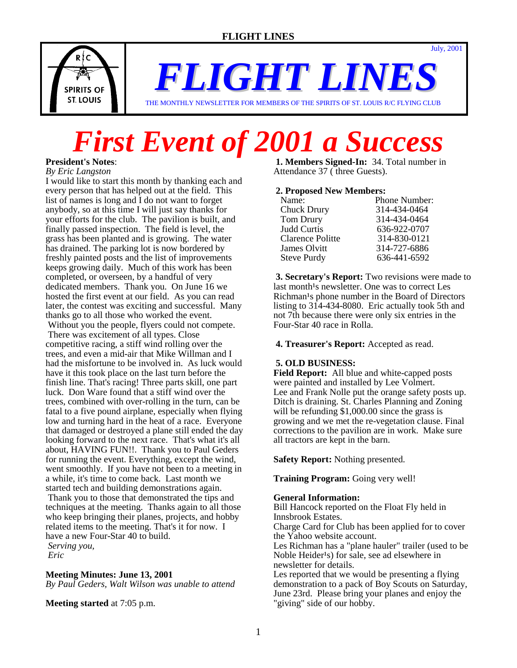THE MONTHLY NEWSLETTER FOR MEMBERS OF THE SPIRITS OF ST. LOUIS R/C FLYING CLUB

# *First Event of 2001 a Success*

# **President's Notes**:

*By Eric Langston* I would like to start this month by thanking each and every person that has helped out at the field. This list of names is long and I do not want to forget anybody, so at this time I will just say thanks for your efforts for the club. The pavilion is built, and finally passed inspection. The field is level, the grass has been planted and is growing. The water has drained. The parking lot is now bordered by freshly painted posts and the list of improvements keeps growing daily. Much of this work has been completed, or overseen, by a handful of very dedicated members. Thank you. On June 16 we hosted the first event at our field. As you can read later, the contest was exciting and successful. Many thanks go to all those who worked the event. Without you the people, flyers could not compete. There was excitement of all types. Close competitive racing, a stiff wind rolling over the trees, and even a mid-air that Mike Willman and I had the misfortune to be involved in. As luck would have it this took place on the last turn before the finish line. That's racing! Three parts skill, one part luck. Don Ware found that a stiff wind over the trees, combined with over-rolling in the turn, can be fatal to a five pound airplane, especially when flying low and turning hard in the heat of a race. Everyone that damaged or destroyed a plane still ended the day looking forward to the next race. That's what it's all about, HAVING FUN!!. Thank you to Paul Geders for running the event. Everything, except the wind, went smoothly. If you have not been to a meeting in a while, it's time to come back. Last month we started tech and building demonstrations again. Thank you to those that demonstrated the tips and techniques at the meeting. Thanks again to all those who keep bringing their planes, projects, and hobby related items to the meeting. That's it for now. I have a new Four-Star 40 to build. *Serving you,* 

 *Eric* 

## **Meeting Minutes: June 13, 2001**

*By Paul Geders, Walt Wilson was unable to attend* 

**Meeting started** at 7:05 p.m.

**1. Members Signed-In:** 34. Total number in Attendance 37 ( three Guests).

July, 2001

#### **2. Proposed New Members:**

| Name:              | Phone Number: |
|--------------------|---------------|
| <b>Chuck Drury</b> | 314-434-0464  |
| <b>Tom Drury</b>   | 314-434-0464  |
| Judd Curtis        | 636-922-0707  |
| Clarence Politte   | 314-830-0121  |
| James Olvitt       | 314-727-6886  |
| <b>Steve Purdy</b> | 636-441-6592  |

**3. Secretary's Report:** Two revisions were made to last month<sup>1</sup>s newsletter. One was to correct Les Richman<sup>1</sup>s phone number in the Board of Directors listing to 314-434-8080. Eric actually took 5th and not 7th because there were only six entries in the Four-Star 40 race in Rolla.

 **4. Treasurer's Report:** Accepted as read.

# **5. OLD BUSINESS:**

**Field Report:** All blue and white-capped posts were painted and installed by Lee Volmert. Lee and Frank Nolle put the orange safety posts up. Ditch is draining. St. Charles Planning and Zoning will be refunding \$1,000.00 since the grass is growing and we met the re-vegetation clause. Final corrections to the pavilion are in work. Make sure all tractors are kept in the barn.

**Safety Report:** Nothing presented.

**Training Program:** Going very well!

## **General Information:**

Bill Hancock reported on the Float Fly held in Innsbrook Estates. Charge Card for Club has been applied for to cover the Yahoo website account. Les Richman has a "plane hauler" trailer (used to be Noble Heider<sup>1</sup>s) for sale, see ad elsewhere in newsletter for details. Les reported that we would be presenting a flying demonstration to a pack of Boy Scouts on Saturday, June 23rd. Please bring your planes and enjoy the "giving" side of our hobby.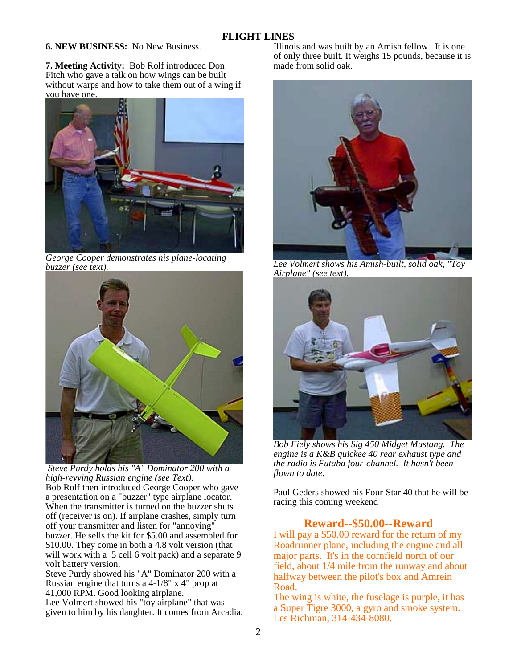## **6. NEW BUSINESS:** No New Business.

**7. Meeting Activity:** Bob Rolf introduced Don Fitch who gave a talk on how wings can be built without warps and how to take them out of a wing if you have one.



*George Cooper demonstrates his plane-locating buzzer (see text).* 



*Steve Purdy holds his "A" Dominator 200 with a high-revving Russian engine (see Text).*  Bob Rolf then introduced George Cooper who gave a presentation on a "buzzer" type airplane locator. When the transmitter is turned on the buzzer shuts off (receiver is on). If airplane crashes, simply turn off your transmitter and listen for "annoying" buzzer. He sells the kit for \$5.00 and assembled for \$10.00. They come in both a 4.8 volt version (that will work with a 5 cell 6 volt pack) and a separate 9 volt battery version.

Steve Purdy showed his "A" Dominator 200 with a Russian engine that turns a 4-1/8" x 4" prop at 41,000 RPM. Good looking airplane.

Lee Volmert showed his "toy airplane" that was given to him by his daughter. It comes from Arcadia, Illinois and was built by an Amish fellow. It is one of only three built. It weighs 15 pounds, because it is made from solid oak.



*Lee Volmert shows his Amish-built, solid oak, "Toy Airplane" (see text).* 



*Bob Fiely shows his Sig 450 Midget Mustang. The engine is a K&B quickee 40 rear exhaust type and the radio is Futaba four-channel. It hasn't been flown to date.* 

Paul Geders showed his Four-Star 40 that he will be racing this coming weekend

# **Reward--\$50.00--Reward**

I will pay a \$50.00 reward for the return of my Roadrunner plane, including the engine and all major parts. It's in the cornfield north of our field, about 1/4 mile from the runway and about halfway between the pilot's box and Amrein Road.

The wing is white, the fuselage is purple, it has a Super Tigre 3000, a gyro and smoke system. Les Richman, 314-434-8080.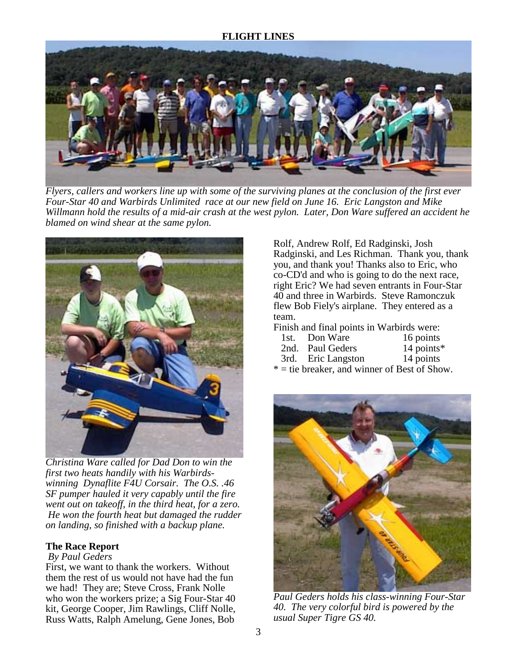

*Flyers, callers and workers line up with some of the surviving planes at the conclusion of the first ever Four-Star 40 and Warbirds Unlimited race at our new field on June 16. Eric Langston and Mike Willmann hold the results of a mid-air crash at the west pylon. Later, Don Ware suffered an accident he blamed on wind shear at the same pylon.* 



 *Christina Ware called for Dad Don to win the first two heats handily with his Warbirdswinning Dynaflite F4U Corsair. The O.S. .46 SF pumper hauled it very capably until the fire went out on takeoff, in the third heat, for a zero. He won the fourth heat but damaged the rudder on landing, so finished with a backup plane.* 

## **The Race Report**

## *By Paul Geders*

First, we want to thank the workers. Without them the rest of us would not have had the fun we had! They are; Steve Cross, Frank Nolle who won the workers prize; a Sig Four-Star 40 kit, George Cooper, Jim Rawlings, Cliff Nolle, Russ Watts, Ralph Amelung, Gene Jones, Bob

Rolf, Andrew Rolf, Ed Radginski, Josh Radginski, and Les Richman. Thank you, thank you, and thank you! Thanks also to Eric, who co-CD'd and who is going to do the next race, right Eric? We had seven entrants in Four-Star 40 and three in Warbirds. Steve Ramonczuk flew Bob Fiely's airplane. They entered as a team.

Finish and final points in Warbirds were:

| 1st. Don Ware      | 16 points                                 |
|--------------------|-------------------------------------------|
| 2nd. Paul Geders   | 14 points $*$                             |
| 3rd. Eric Langston | 14 points                                 |
| .                  | $\sim$ $\sim$ $\sim$ $\sim$ $\sim$ $\sim$ |

\* = tie breaker, and winner of Best of Show.



*Paul Geders holds his class-winning Four-Star 40. The very colorful bird is powered by the usual Super Tigre GS 40.*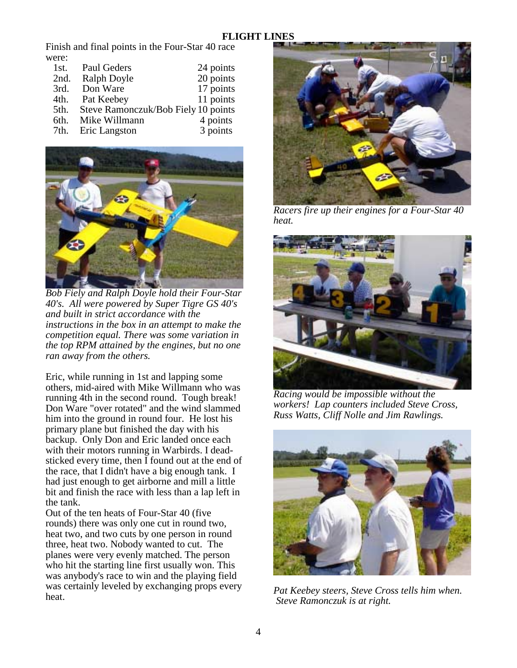Finish and final points in the Four-Star 40 race were:

| 1st. | Paul Geders                         | 24 points |
|------|-------------------------------------|-----------|
| 2nd. | <b>Ralph Doyle</b>                  | 20 points |
| 3rd. | Don Ware                            | 17 points |
| 4th. | Pat Keebey                          | 11 points |
| 5th. | Steve Ramonczuk/Bob Fiely 10 points |           |
| 6th. | Mike Willmann                       | 4 points  |
| 7th. | Eric Langston                       | 3 points  |



*Bob Fiely and Ralph Doyle hold their Four-Star 40's. All were powered by Super Tigre GS 40's and built in strict accordance with the instructions in the box in an attempt to make the competition equal. There was some variation in the top RPM attained by the engines, but no one ran away from the others.*

Eric, while running in 1st and lapping some others, mid-aired with Mike Willmann who was running 4th in the second round. Tough break! Don Ware "over rotated" and the wind slammed him into the ground in round four. He lost his primary plane but finished the day with his backup. Only Don and Eric landed once each with their motors running in Warbirds. I deadsticked every time, then I found out at the end of the race, that I didn't have a big enough tank. I had just enough to get airborne and mill a little bit and finish the race with less than a lap left in the tank.

Out of the ten heats of Four-Star 40 (five rounds) there was only one cut in round two, heat two, and two cuts by one person in round three, heat two. Nobody wanted to cut. The planes were very evenly matched. The person who hit the starting line first usually won. This was anybody's race to win and the playing field was certainly leveled by exchanging props every heat.



*Racers fire up their engines for a Four-Star 40 heat.* 



*Racing would be impossible without the workers! Lap counters included Steve Cross, Russ Watts, Cliff Nolle and Jim Rawlings.* 



*Pat Keebey steers, Steve Cross tells him when. Steve Ramonczuk is at right.*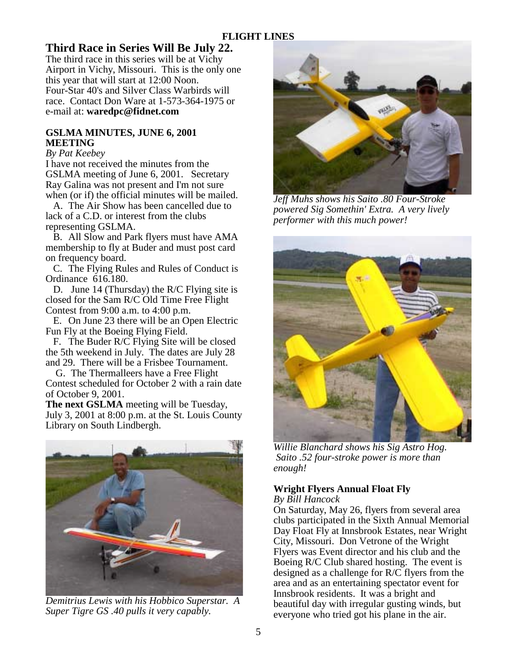# **Third Race in Series Will Be July 22.**

The third race in this series will be at Vichy Airport in Vichy, Missouri. This is the only one this year that will start at 12:00 Noon. Four-Star 40's and Silver Class Warbirds will race. Contact Don Ware at 1-573-364-1975 or e-mail at: **waredpc@fidnet.com**

## **GSLMA MINUTES, JUNE 6, 2001 MEETING**

## *By Pat Keebey*

I have not received the minutes from the GSLMA meeting of June 6, 2001. Secretary Ray Galina was not present and I'm not sure when (or if) the official minutes will be mailed.

 A. The Air Show has been cancelled due to lack of a C.D. or interest from the clubs representing GSLMA.

 B. All Slow and Park flyers must have AMA membership to fly at Buder and must post card on frequency board.

 C. The Flying Rules and Rules of Conduct is Ordinance 616.180.

 D. June 14 (Thursday) the R/C Flying site is closed for the Sam R/C Old Time Free Flight Contest from 9:00 a.m. to 4:00 p.m.

 E. On June 23 there will be an Open Electric Fun Fly at the Boeing Flying Field.

 F. The Buder R/C Flying Site will be closed the 5th weekend in July. The dates are July 28 and 29. There will be a Frisbee Tournament.

 G. The Thermalleers have a Free Flight Contest scheduled for October 2 with a rain date of October 9, 2001.

**The next GSLMA** meeting will be Tuesday, July 3, 2001 at 8:00 p.m. at the St. Louis County Library on South Lindbergh.



*Demitrius Lewis with his Hobbico Superstar. A Super Tigre GS .40 pulls it very capably.* 



*Jeff Muhs shows his Saito .80 Four-Stroke powered Sig Somethin' Extra. A very lively performer with this much power!* 



*Willie Blanchard shows his Sig Astro Hog. Saito .52 four-stroke power is more than enough!* 

# **Wright Flyers Annual Float Fly**

*By Bill Hancock*

On Saturday, May 26, flyers from several area clubs participated in the Sixth Annual Memorial Day Float Fly at Innsbrook Estates, near Wright City, Missouri. Don Vetrone of the Wright Flyers was Event director and his club and the Boeing R/C Club shared hosting. The event is designed as a challenge for R/C flyers from the area and as an entertaining spectator event for Innsbrook residents. It was a bright and beautiful day with irregular gusting winds, but everyone who tried got his plane in the air.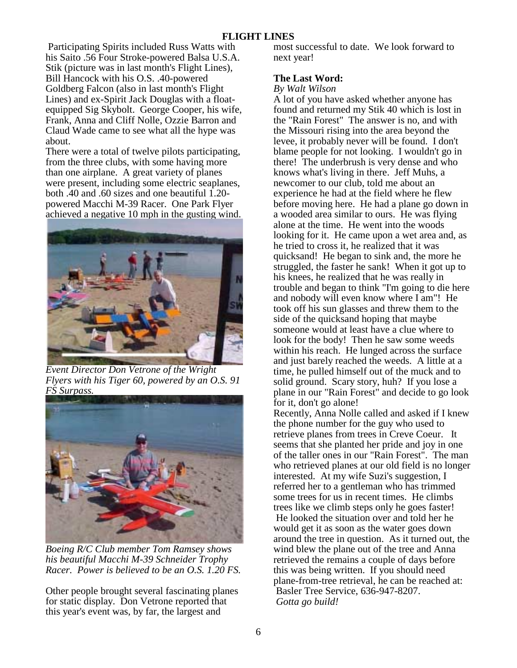Participating Spirits included Russ Watts with his Saito .56 Four Stroke-powered Balsa U.S.A. Stik (picture was in last month's Flight Lines), Bill Hancock with his O.S. .40-powered Goldberg Falcon (also in last month's Flight Lines) and ex-Spirit Jack Douglas with a floatequipped Sig Skybolt. George Cooper, his wife, Frank, Anna and Cliff Nolle, Ozzie Barron and Claud Wade came to see what all the hype was about.

There were a total of twelve pilots participating, from the three clubs, with some having more than one airplane. A great variety of planes were present, including some electric seaplanes, both .40 and .60 sizes and one beautiful 1.20 powered Macchi M-39 Racer. One Park Flyer achieved a negative 10 mph in the gusting wind.



*Event Director Don Vetrone of the Wright Flyers with his Tiger 60, powered by an O.S. 91 FS Surpass.* 



*Boeing R/C Club member Tom Ramsey shows his beautiful Macchi M-39 Schneider Trophy Racer. Power is believed to be an O.S. 1.20 FS.* 

Other people brought several fascinating planes for static display. Don Vetrone reported that this year's event was, by far, the largest and

most successful to date. We look forward to next year!

# **The Last Word:**

## *By Walt Wilson*

A lot of you have asked whether anyone has found and returned my Stik 40 which is lost in the "Rain Forest" The answer is no, and with the Missouri rising into the area beyond the levee, it probably never will be found. I don't blame people for not looking. I wouldn't go in there! The underbrush is very dense and who knows what's living in there. Jeff Muhs, a newcomer to our club, told me about an experience he had at the field where he flew before moving here. He had a plane go down in a wooded area similar to ours. He was flying alone at the time. He went into the woods looking for it. He came upon a wet area and, as he tried to cross it, he realized that it was quicksand! He began to sink and, the more he struggled, the faster he sank! When it got up to his knees, he realized that he was really in trouble and began to think "I'm going to die here and nobody will even know where I am"! He took off his sun glasses and threw them to the side of the quicksand hoping that maybe someone would at least have a clue where to look for the body! Then he saw some weeds within his reach. He lunged across the surface and just barely reached the weeds. A little at a time, he pulled himself out of the muck and to solid ground. Scary story, huh? If you lose a plane in our "Rain Forest" and decide to go look for it, don't go alone! Recently, Anna Nolle called and asked if I knew the phone number for the guy who used to retrieve planes from trees in Creve Coeur. It seems that she planted her pride and joy in one of the taller ones in our "Rain Forest". The man who retrieved planes at our old field is no longer interested. At my wife Suzi's suggestion, I referred her to a gentleman who has trimmed some trees for us in recent times. He climbs trees like we climb steps only he goes faster! He looked the situation over and told her he would get it as soon as the water goes down around the tree in question. As it turned out, the wind blew the plane out of the tree and Anna

retrieved the remains a couple of days before this was being written. If you should need plane-from-tree retrieval, he can be reached at: Basler Tree Service, 636-947-8207.  *Gotta go build!*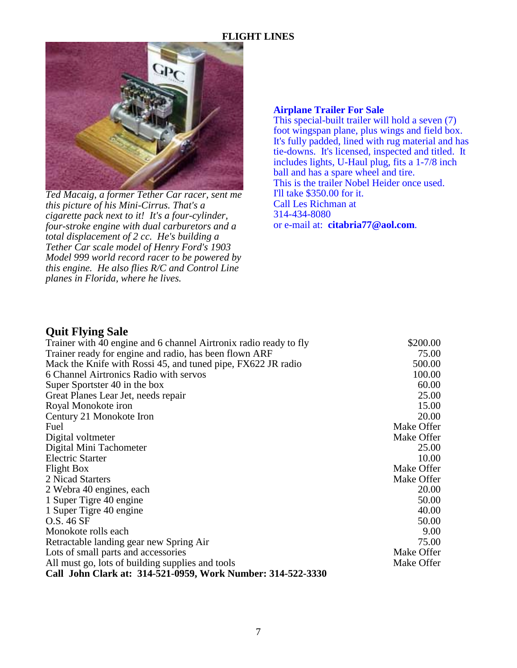

*Ted Macaig, a former Tether Car racer, sent me this picture of his Mini-Cirrus. That's a cigarette pack next to it! It's a four-cylinder, four-stroke engine with dual carburetors and a total displacement of 2 cc. He's building a Tether Car scale model of Henry Ford's 1903 Model 999 world record racer to be powered by this engine. He also flies R/C and Control Line planes in Florida, where he lives.* 

#### **Airplane Trailer For Sale**

This special-built trailer will hold a seven (7) foot wingspan plane, plus wings and field box. It's fully padded, lined with rug material and has tie-downs. It's licensed, inspected and titled. It includes lights, U-Haul plug, fits a 1-7/8 inch ball and has a spare wheel and tire. This is the trailer Nobel Heider once used. I'll take \$350.00 for it. Call Les Richman at 314-434-8080 or e-mail at: **citabria77@aol.com**.

# **Quit Flying Sale**

| Trainer with 40 engine and 6 channel Airtronix radio ready to fly | \$200.00   |
|-------------------------------------------------------------------|------------|
| Trainer ready for engine and radio, has been flown ARF            | 75.00      |
| Mack the Knife with Rossi 45, and tuned pipe, FX622 JR radio      | 500.00     |
| 6 Channel Airtronics Radio with servos                            | 100.00     |
| Super Sportster 40 in the box                                     | 60.00      |
| Great Planes Lear Jet, needs repair                               | 25.00      |
| Royal Monokote iron                                               | 15.00      |
| Century 21 Monokote Iron                                          | 20.00      |
| Fuel                                                              | Make Offer |
| Digital voltmeter                                                 | Make Offer |
| Digital Mini Tachometer                                           | 25.00      |
| <b>Electric Starter</b>                                           | 10.00      |
| <b>Flight Box</b>                                                 | Make Offer |
| 2 Nicad Starters                                                  | Make Offer |
| 2 Webra 40 engines, each                                          | 20.00      |
| 1 Super Tigre 40 engine                                           | 50.00      |
| 1 Super Tigre 40 engine                                           | 40.00      |
| O.S. 46 SF                                                        | 50.00      |
| Monokote rolls each                                               | 9.00       |
| Retractable landing gear new Spring Air                           | 75.00      |
| Lots of small parts and accessories                               | Make Offer |
| All must go, lots of building supplies and tools                  | Make Offer |
| Call John Clark at: 314-521-0959, Work Number: 314-522-3330       |            |